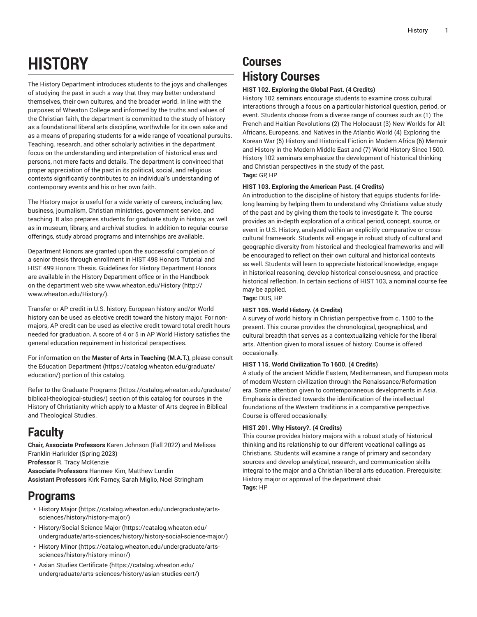# **HISTORY**

The History Department introduces students to the joys and challenges of studying the past in such a way that they may better understand themselves, their own cultures, and the broader world. In line with the purposes of Wheaton College and informed by the truths and values of the Christian faith, the department is committed to the study of history as a foundational liberal arts discipline, worthwhile for its own sake and as a means of preparing students for a wide range of vocational pursuits. Teaching, research, and other scholarly activities in the department focus on the understanding and interpretation of historical eras and persons, not mere facts and details. The department is convinced that proper appreciation of the past in its political, social, and religious contexts significantly contributes to an individual's understanding of contemporary events and his or her own faith.

The History major is useful for a wide variety of careers, including law, business, journalism, Christian ministries, government service, and teaching. It also prepares students for graduate study in history, as well as in museum, library, and archival studies. In addition to regular course offerings, study abroad programs and internships are available.

Department Honors are granted upon the successful completion of a senior thesis through enrollment in HIST 498 Honors Tutorial and HIST 499 Honors Thesis. Guidelines for History Department Honors are available in the History Department office or in the Handbook on the department web site [www.wheaton.edu/History](http://www.wheaton.edu/History/) ([http://](http://www.wheaton.edu/History/) [www.wheaton.edu/History/\)](http://www.wheaton.edu/History/).

Transfer or AP credit in U.S. history, European history and/or World history can be used as elective credit toward the history major. For nonmajors, AP credit can be used as elective credit toward total credit hours needed for graduation. A score of 4 or 5 in AP World History satisfies the general education requirement in historical perspectives.

For information on the **Master of Arts in Teaching (M.A.T.)**, please consult the Education [Department](https://catalog.wheaton.edu/graduate/education/) ([https://catalog.wheaton.edu/graduate/](https://catalog.wheaton.edu/graduate/education/) [education/](https://catalog.wheaton.edu/graduate/education/)) portion of this catalog.

Refer to the Graduate [Programs](https://catalog.wheaton.edu/graduate/biblical-theological-studies/) ([https://catalog.wheaton.edu/graduate/](https://catalog.wheaton.edu/graduate/biblical-theological-studies/) [biblical-theological-studies/\)](https://catalog.wheaton.edu/graduate/biblical-theological-studies/) section of this catalog for courses in the History of Christianity which apply to a Master of Arts degree in Biblical and Theological Studies.

### **Faculty**

**Chair, Associate Professors** Karen Johnson (Fall 2022) and Melissa Franklin-Harkrider (Spring 2023)

**Professor** R. Tracy McKenzie

**Associate Professors** Hanmee Kim, Matthew Lundin **Assistant Professors** Kirk Farney, Sarah Miglio, Noel Stringham

### **Programs**

- [History](https://catalog.wheaton.edu/undergraduate/arts-sciences/history/history-major/) Major [\(https://catalog.wheaton.edu/undergraduate/arts](https://catalog.wheaton.edu/undergraduate/arts-sciences/history/history-major/)[sciences/history/history-major/](https://catalog.wheaton.edu/undergraduate/arts-sciences/history/history-major/))
- [History/Social](https://catalog.wheaton.edu/undergraduate/arts-sciences/history/history-social-science-major/) Science Major [\(https://catalog.wheaton.edu/](https://catalog.wheaton.edu/undergraduate/arts-sciences/history/history-social-science-major/) [undergraduate/arts-sciences/history/history-social-science-major/](https://catalog.wheaton.edu/undergraduate/arts-sciences/history/history-social-science-major/))
- [History](https://catalog.wheaton.edu/undergraduate/arts-sciences/history/history-minor/) Minor [\(https://catalog.wheaton.edu/undergraduate/arts](https://catalog.wheaton.edu/undergraduate/arts-sciences/history/history-minor/)[sciences/history/history-minor/](https://catalog.wheaton.edu/undergraduate/arts-sciences/history/history-minor/))
- Asian Studies [Certificate](https://catalog.wheaton.edu/undergraduate/arts-sciences/history/asian-studies-cert/) [\(https://catalog.wheaton.edu/](https://catalog.wheaton.edu/undergraduate/arts-sciences/history/asian-studies-cert/) [undergraduate/arts-sciences/history/asian-studies-cert/](https://catalog.wheaton.edu/undergraduate/arts-sciences/history/asian-studies-cert/))

## **Courses History Courses**

#### **HIST 102. Exploring the Global Past. (4 Credits)**

History 102 seminars encourage students to examine cross cultural interactions through a focus on a particular historical question, period, or event. Students choose from a diverse range of courses such as (1) The French and Haitian Revolutions (2) The Holocaust (3) New Worlds for All: Africans, Europeans, and Natives in the Atlantic World (4) Exploring the Korean War (5) History and Historical Fiction in Modern Africa (6) Memoir and History in the Modern Middle East and (7) World History Since 1500. History 102 seminars emphasize the development of historical thinking and Christian perspectives in the study of the past. **Tags:** GP, HP

#### **HIST 103. Exploring the American Past. (4 Credits)**

An introduction to the discipline of history that equips students for lifelong learning by helping them to understand why Christians value study of the past and by giving them the tools to investigate it. The course provides an in-depth exploration of a critical period, concept, source, or event in U.S. History, analyzed within an explicitly comparative or crosscultural framework. Students will engage in robust study of cultural and geographic diversity from historical and theological frameworks and will be encouraged to reflect on their own cultural and historical contexts as well. Students will learn to appreciate historical knowledge, engage in historical reasoning, develop historical consciousness, and practice historical reflection. In certain sections of HIST 103, a nominal course fee may be applied.

**Tags:** DUS, HP

#### **HIST 105. World History. (4 Credits)**

A survey of world history in Christian perspective from c. 1500 to the present. This course provides the chronological, geographical, and cultural breadth that serves as a contextualizing vehicle for the liberal arts. Attention given to moral issues of history. Course is offered occasionally.

#### **HIST 115. World Civilization To 1600. (4 Credits)**

A study of the ancient Middle Eastern, Mediterranean, and European roots of modern Western civilization through the Renaissance/Reformation era. Some attention given to contemporaneous developments in Asia. Emphasis is directed towards the identification of the intellectual foundations of the Western traditions in a comparative perspective. Course is offered occasionally.

#### **HIST 201. Why History?. (4 Credits)**

This course provides history majors with a robust study of historical thinking and its relationship to our different vocational callings as Christians. Students will examine a range of primary and secondary sources and develop analytical, research, and communication skills integral to the major and a Christian liberal arts education. Prerequisite: History major or approval of the department chair. **Tags:** HP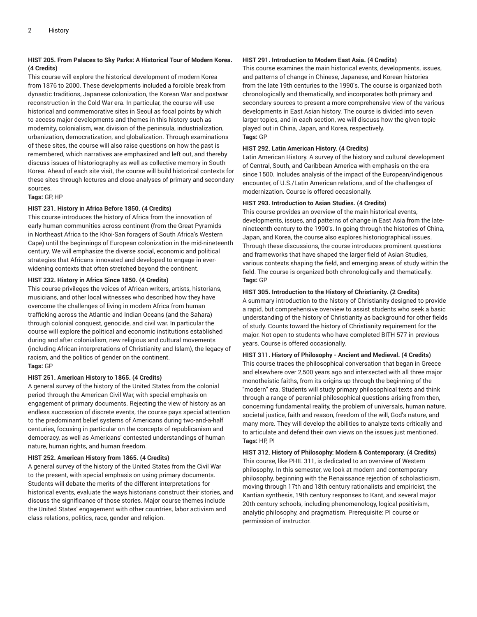#### **HIST 205. From Palaces to Sky Parks: A Historical Tour of Modern Korea. (4 Credits)**

This course will explore the historical development of modern Korea from 1876 to 2000. These developments included a forcible break from dynastic traditions, Japanese colonization, the Korean War and postwar reconstruction in the Cold War era. In particular, the course will use historical and commemorative sites in Seoul as focal points by which to access major developments and themes in this history such as modernity, colonialism, war, division of the peninsula, industrialization, urbanization, democratization, and globalization. Through examinations of these sites, the course will also raise questions on how the past is remembered, which narratives are emphasized and left out, and thereby discuss issues of historiography as well as collective memory in South Korea. Ahead of each site visit, the course will build historical contexts for these sites through lectures and close analyses of primary and secondary sources.

#### **Tags:** GP, HP

#### **HIST 231. History in Africa Before 1850. (4 Credits)**

This course introduces the history of Africa from the innovation of early human communities across continent (from the Great Pyramids in Northeast Africa to the Khoi-San foragers of South Africa's Western Cape) until the beginnings of European colonization in the mid-nineteenth century. We will emphasize the diverse social, economic and political strategies that Africans innovated and developed to engage in everwidening contexts that often stretched beyond the continent.

#### **HIST 232. History in Africa Since 1850. (4 Credits)**

This course privileges the voices of African writers, artists, historians, musicians, and other local witnesses who described how they have overcome the challenges of living in modern Africa from human trafficking across the Atlantic and Indian Oceans (and the Sahara) through colonial conquest, genocide, and civil war. In particular the course will explore the political and economic institutions established during and after colonialism, new religious and cultural movements (including African interpretations of Christianity and Islam), the legacy of racism, and the politics of gender on the continent. **Tags:** GP

#### **HIST 251. American History to 1865. (4 Credits)**

A general survey of the history of the United States from the colonial period through the American Civil War, with special emphasis on engagement of primary documents. Rejecting the view of history as an endless succession of discrete events, the course pays special attention to the predominant belief systems of Americans during two-and-a-half centuries, focusing in particular on the concepts of republicanism and democracy, as well as Americans' contested understandings of human nature, human rights, and human freedom.

#### **HIST 252. American History from 1865. (4 Credits)**

A general survey of the history of the United States from the Civil War to the present, with special emphasis on using primary documents. Students will debate the merits of the different interpretations for historical events, evaluate the ways historians construct their stories, and discuss the significance of those stories. Major course themes include the United States' engagement with other countries, labor activism and class relations, politics, race, gender and religion.

#### **HIST 291. Introduction to Modern East Asia. (4 Credits)**

This course examines the main historical events, developments, issues, and patterns of change in Chinese, Japanese, and Korean histories from the late 19th centuries to the 1990's. The course is organized both chronologically and thematically, and incorporates both primary and secondary sources to present a more comprehensive view of the various developments in East Asian history. The course is divided into seven larger topics, and in each section, we will discuss how the given topic played out in China, Japan, and Korea, respectively. **Tags:** GP

#### **HIST 292. Latin American History. (4 Credits)**

Latin American History. A survey of the history and cultural development of Central, South, and Caribbean America with emphasis on the era since 1500. Includes analysis of the impact of the European/indigenous encounter, of U.S./Latin American relations, and of the challenges of modernization. Course is offered occasionally.

#### **HIST 293. Introduction to Asian Studies. (4 Credits)**

This course provides an overview of the main historical events, developments, issues, and patterns of change in East Asia from the latenineteenth century to the 1990's. In going through the histories of China, Japan, and Korea, the course also explores historiographical issues. Through these discussions, the course introduces prominent questions and frameworks that have shaped the larger field of Asian Studies, various contexts shaping the field, and emerging areas of study within the field. The course is organized both chronologically and thematically. **Tags:** GP

#### **HIST 305. Introduction to the History of Christianity. (2 Credits)**

A summary introduction to the history of Christianity designed to provide a rapid, but comprehensive overview to assist students who seek a basic understanding of the history of Christianity as background for other fields of study. Counts toward the history of Christianity requirement for the major. Not open to students who have completed BITH 577 in previous years. Course is offered occasionally.

#### **HIST 311. History of Philosophy - Ancient and Medieval. (4 Credits)**

This course traces the philosophical conversation that began in Greece and elsewhere over 2,500 years ago and intersected with all three major monotheistic faiths, from its origins up through the beginning of the "modern" era. Students will study primary philosophical texts and think through a range of perennial philosophical questions arising from then, concerning fundamental reality, the problem of universals, human nature, societal justice, faith and reason, freedom of the will, God's nature, and many more. They will develop the abilities to analyze texts critically and to articulate and defend their own views on the issues just mentioned. **Tags:** HP, PI

**HIST 312. History of Philosophy: Modern & Contemporary. (4 Credits)** This course, like PHIL 311, is dedicated to an overview of Western philosophy. In this semester, we look at modern and contemporary philosophy, beginning with the Renaissance rejection of scholasticism, moving through 17th and 18th century rationalists and empiricist, the Kantian synthesis, 19th century responses to Kant, and several major 20th century schools, including phenomenology, logical positivism, analytic philosophy, and pragmatism. Prerequisite: PI course or permission of instructor.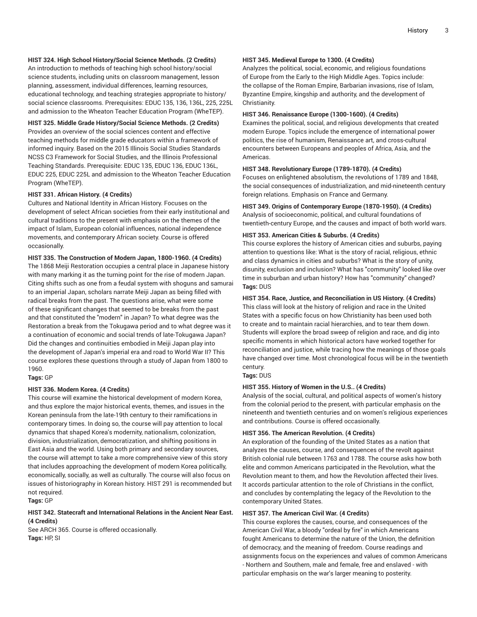#### **HIST 324. High School History/Social Science Methods. (2 Credits)**

An introduction to methods of teaching high school history/social science students, including units on classroom management, lesson planning, assessment, individual differences, learning resources, educational technology, and teaching strategies appropriate to history/ social science classrooms. Prerequisites: EDUC 135, 136, 136L, 225, 225L and admission to the Wheaton Teacher Education Program (WheTEP).

**HIST 325. Middle Grade History/Social Science Methods. (2 Credits)** Provides an overview of the social sciences content and effective teaching methods for middle grade educators within a framework of informed inquiry. Based on the 2015 Illinois Social Studies Standards NCSS C3 Framework for Social Studies, and the Illinois Professional Teaching Standards. Prerequisite: EDUC 135, EDUC 136, EDUC 136L, EDUC 225, EDUC 225L and admission to the Wheaton Teacher Education Program (WheTEP).

#### **HIST 331. African History. (4 Credits)**

Cultures and National Identity in African History. Focuses on the development of select African societies from their early institutional and cultural traditions to the present with emphasis on the themes of the impact of Islam, European colonial influences, national independence movements, and contemporary African society. Course is offered occasionally.

**HIST 335. The Construction of Modern Japan, 1800-1960. (4 Credits)**

The 1868 Meiji Restoration occupies a central place in Japanese history with many marking it as the turning point for the rise of modern Japan. Citing shifts such as one from a feudal system with shoguns and samurai to an imperial Japan, scholars narrate Meiji Japan as being filled with radical breaks from the past. The questions arise, what were some of these significant changes that seemed to be breaks from the past and that constituted the "modern" in Japan? To what degree was the Restoration a break from the Tokugawa period and to what degree was it a continuation of economic and social trends of late-Tokugawa Japan? Did the changes and continuities embodied in Meiji Japan play into the development of Japan's imperial era and road to World War II? This course explores these questions through a study of Japan from 1800 to 1960.

#### **Tags:** GP

#### **HIST 336. Modern Korea. (4 Credits)**

This course will examine the historical development of modern Korea, and thus explore the major historical events, themes, and issues in the Korean peninsula from the late-19th century to their ramifications in contemporary times. In doing so, the course will pay attention to local dynamics that shaped Korea's modernity, nationalism, colonization, division, industrialization, democratization, and shifting positions in East Asia and the world. Using both primary and secondary sources, the course will attempt to take a more comprehensive view of this story that includes approaching the development of modern Korea politically, economically, socially, as well as culturally. The course will also focus on issues of historiography in Korean history. HIST 291 is recommended but not required.

#### **Tags:** GP

#### **HIST 342. Statecraft and International Relations in the Ancient Near East. (4 Credits)**

See ARCH 365. Course is offered occasionally. **Tags:** HP, SI

#### **HIST 345. Medieval Europe to 1300. (4 Credits)**

Analyzes the political, social, economic, and religious foundations of Europe from the Early to the High Middle Ages. Topics include: the collapse of the Roman Empire, Barbarian invasions, rise of Islam, Byzantine Empire, kingship and authority, and the development of Christianity.

#### **HIST 346. Renaissance Europe (1300-1600). (4 Credits)**

Examines the political, social, and religious developments that created modern Europe. Topics include the emergence of international power politics, the rise of humanism, Renaissance art, and cross-cultural encounters between Europeans and peoples of Africa, Asia, and the Americas.

#### **HIST 348. Revolutionary Europe (1789-1870). (4 Credits)**

Focuses on enlightened absolutism, the revolutions of 1789 and 1848, the social consequences of industrialization, and mid-nineteenth century foreign relations. Emphasis on France and Germany.

**HIST 349. Origins of Contemporary Europe (1870-1950). (4 Credits)** Analysis of socioeconomic, political, and cultural foundations of twentieth-century Europe, and the causes and impact of both world wars.

#### **HIST 353. American Cities & Suburbs. (4 Credits)**

This course explores the history of American cities and suburbs, paying attention to questions like: What is the story of racial, religious, ethnic and class dynamics in cities and suburbs? What is the story of unity, disunity, exclusion and inclusion? What has "community" looked like over time in suburban and urban history? How has "community" changed? **Tags:** DUS

#### **HIST 354. Race, Justice, and Reconciliation in US History. (4 Credits)**

This class will look at the history of religion and race in the United States with a specific focus on how Christianity has been used both to create and to maintain racial hierarchies, and to tear them down. Students will explore the broad sweep of religion and race, and dig into specific moments in which historical actors have worked together for reconciliation and justice, while tracing how the meanings of those goals have changed over time. Most chronological focus will be in the twentieth century.

#### **Tags:** DUS

#### **HIST 355. History of Women in the U.S.. (4 Credits)**

Analysis of the social, cultural, and political aspects of women's history from the colonial period to the present, with particular emphasis on the nineteenth and twentieth centuries and on women's religious experiences and contributions. Course is offered occasionally.

#### **HIST 356. The American Revolution. (4 Credits)**

An exploration of the founding of the United States as a nation that analyzes the causes, course, and consequences of the revolt against British colonial rule between 1763 and 1788. The course asks how both elite and common Americans participated in the Revolution, what the Revolution meant to them, and how the Revolution affected their lives. It accords particular attention to the role of Christians in the conflict, and concludes by contemplating the legacy of the Revolution to the contemporary United States.

#### **HIST 357. The American Civil War. (4 Credits)**

This course explores the causes, course, and consequences of the American Civil War, a bloody "ordeal by fire" in which Americans fought Americans to determine the nature of the Union, the definition of democracy, and the meaning of freedom. Course readings and assignments focus on the experiences and values of common Americans - Northern and Southern, male and female, free and enslaved - with particular emphasis on the war's larger meaning to posterity.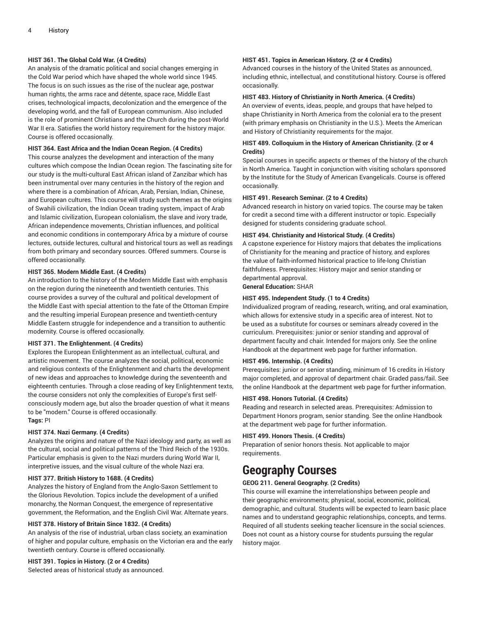#### **HIST 361. The Global Cold War. (4 Credits)**

An analysis of the dramatic political and social changes emerging in the Cold War period which have shaped the whole world since 1945. The focus is on such issues as the rise of the nuclear age, postwar human rights, the arms race and détente, space race, Middle East crises, technological impacts, decolonization and the emergence of the developing world, and the fall of European communism. Also included is the role of prominent Christians and the Church during the post-World War II era. Satisfies the world history requirement for the history major. Course is offered occasionally.

#### **HIST 364. East Africa and the Indian Ocean Region. (4 Credits)**

This course analyzes the development and interaction of the many cultures which compose the Indian Ocean region. The fascinating site for our study is the multi-cultural East African island of Zanzibar which has been instrumental over many centuries in the history of the region and where there is a combination of African, Arab, Persian, Indian, Chinese, and European cultures. This course will study such themes as the origins of Swahili civilization, the Indian Ocean trading system, impact of Arab and Islamic civilization, European colonialism, the slave and ivory trade, African independence movements, Christian influences, and political and economic conditions in contemporary Africa by a mixture of course lectures, outside lectures, cultural and historical tours as well as readings from both primary and secondary sources. Offered summers. Course is offered occasionally.

#### **HIST 365. Modern Middle East. (4 Credits)**

An introduction to the history of the Modern Middle East with emphasis on the region during the nineteenth and twentieth centuries. This course provides a survey of the cultural and political development of the Middle East with special attention to the fate of the Ottoman Empire and the resulting imperial European presence and twentieth-century Middle Eastern struggle for independence and a transition to authentic modernity. Course is offered occasionally.

#### **HIST 371. The Enlightenment. (4 Credits)**

Explores the European Enlightenment as an intellectual, cultural, and artistic movement. The course analyzes the social, political, economic and religious contexts of the Enlightenment and charts the development of new ideas and approaches to knowledge during the seventeenth and eighteenth centuries. Through a close reading of key Enlightenment texts, the course considers not only the complexities of Europe's first selfconsciously modern age, but also the broader question of what it means to be "modern." Course is offered occasionally. **Tags:** PI

#### **HIST 374. Nazi Germany. (4 Credits)**

Analyzes the origins and nature of the Nazi ideology and party, as well as the cultural, social and political patterns of the Third Reich of the 1930s. Particular emphasis is given to the Nazi murders during World War II, interpretive issues, and the visual culture of the whole Nazi era.

#### **HIST 377. British History to 1688. (4 Credits)**

Analyzes the history of England from the Anglo-Saxon Settlement to the Glorious Revolution. Topics include the development of a unified monarchy, the Norman Conquest, the emergence of representative government, the Reformation, and the English Civil War. Alternate years.

#### **HIST 378. History of Britain Since 1832. (4 Credits)**

An analysis of the rise of industrial, urban class society, an examination of higher and popular culture, emphasis on the Victorian era and the early twentieth century. Course is offered occasionally.

#### **HIST 391. Topics in History. (2 or 4 Credits)**

Selected areas of historical study as announced.

#### **HIST 451. Topics in American History. (2 or 4 Credits)**

Advanced courses in the history of the United States as announced, including ethnic, intellectual, and constitutional history. Course is offered occasionally.

#### **HIST 483. History of Christianity in North America. (4 Credits)**

An overview of events, ideas, people, and groups that have helped to shape Christianity in North America from the colonial era to the present (with primary emphasis on Christianity in the U.S.). Meets the American and History of Christianity requirements for the major.

#### **HIST 489. Colloquium in the History of American Christianity. (2 or 4 Credits)**

Special courses in specific aspects or themes of the history of the church in North America. Taught in conjunction with visiting scholars sponsored by the Institute for the Study of American Evangelicals. Course is offered occasionally.

#### **HIST 491. Research Seminar. (2 to 4 Credits)**

Advanced research in history on varied topics. The course may be taken for credit a second time with a different instructor or topic. Especially designed for students considering graduate school.

#### **HIST 494. Christianity and Historical Study. (4 Credits)**

A capstone experience for History majors that debates the implications of Christianity for the meaning and practice of history, and explores the value of faith-informed historical practice to life-long Christian faithfulness. Prerequisites: History major and senior standing or departmental approval.

**General Education:** SHAR

#### **HIST 495. Independent Study. (1 to 4 Credits)**

Individualized program of reading, research, writing, and oral examination, which allows for extensive study in a specific area of interest. Not to be used as a substitute for courses or seminars already covered in the curriculum. Prerequisites: junior or senior standing and approval of department faculty and chair. Intended for majors only. See the online Handbook at the department web page for further information.

#### **HIST 496. Internship. (4 Credits)**

Prerequisites: junior or senior standing, minimum of 16 credits in History major completed, and approval of department chair. Graded pass/fail. See the online Handbook at the department web page for further information.

#### **HIST 498. Honors Tutorial. (4 Credits)**

Reading and research in selected areas. Prerequisites: Admission to Department Honors program, senior standing. See the online Handbook at the department web page for further information.

#### **HIST 499. Honors Thesis. (4 Credits)**

Preparation of senior honors thesis. Not applicable to major requirements.

### **Geography Courses**

#### **GEOG 211. General Geography. (2 Credits)**

This course will examine the interrelationships between people and their geographic environments; physical, social, economic, political, demographic, and cultural. Students will be expected to learn basic place names and to understand geographic relationships, concepts, and terms. Required of all students seeking teacher licensure in the social sciences. Does not count as a history course for students pursuing the regular history major.